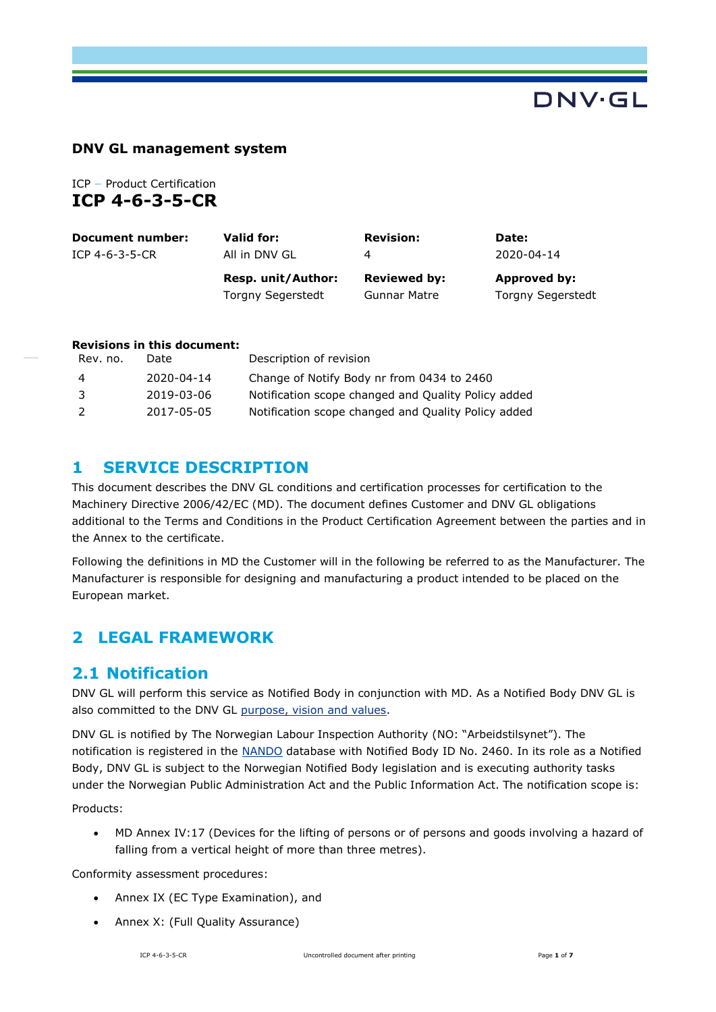# DNV·GL

#### **DNV GL management system**

ICP **–** Product Certification **ICP 4-6-3-5-CR**

| Document number: | Valid for:               | <b>Revision:</b>    | Date:                    |
|------------------|--------------------------|---------------------|--------------------------|
| ICP 4-6-3-5-CR   | All in DNV GL            | 4                   | 2020-04-14               |
|                  | Resp. unit/Author:       | <b>Reviewed by:</b> | Approved by:             |
|                  | <b>Torgny Segerstedt</b> | <b>Gunnar Matre</b> | <b>Torgny Segerstedt</b> |

#### **Revisions in this document:**

| Rev. no.      | Date       | Description of revision                             |
|---------------|------------|-----------------------------------------------------|
| -4            | 2020-04-14 | Change of Notify Body nr from 0434 to 2460          |
| -3            | 2019-03-06 | Notification scope changed and Quality Policy added |
| $\mathcal{L}$ | 2017-05-05 | Notification scope changed and Quality Policy added |

#### **1 SERVICE DESCRIPTION**

This document describes the DNV GL conditions and certification processes for certification to the Machinery Directive 2006/42/EC (MD). The document defines Customer and DNV GL obligations additional to the Terms and Conditions in the Product Certification Agreement between the parties and in the Annex to the certificate.

Following the definitions in MD the Customer will in the following be referred to as the Manufacturer. The Manufacturer is responsible for designing and manufacturing a product intended to be placed on the European market.

# **2 LEGAL FRAMEWORK**

## **2.1 Notification**

DNV GL will perform this service as Notified Body in conjunction with MD. As a Notified Body DNV GL is also committed to the DNV GL [purpose, vision and values.](https://www.dnvgl.com/about/in-brief/purpose-vision-values.html)

DNV GL is notified by The Norwegian Labour Inspection Authority (NO: "Arbeidstilsynet"). The notification is registered in the [NANDO](http://ec.europa.eu/growth/tools-databases/nando/index.cfm?fuseaction=notifiedbody.main) database with Notified Body ID No. 2460. In its role as a Notified Body, DNV GL is subject to the Norwegian Notified Body legislation and is executing authority tasks under the Norwegian Public Administration Act and the Public Information Act. The notification scope is:

Products:

 MD Annex IV:17 (Devices for the lifting of persons or of persons and goods involving a hazard of falling from a vertical height of more than three metres).

Conformity assessment procedures:

- Annex IX (EC Type Examination), and
- Annex X: (Full Quality Assurance)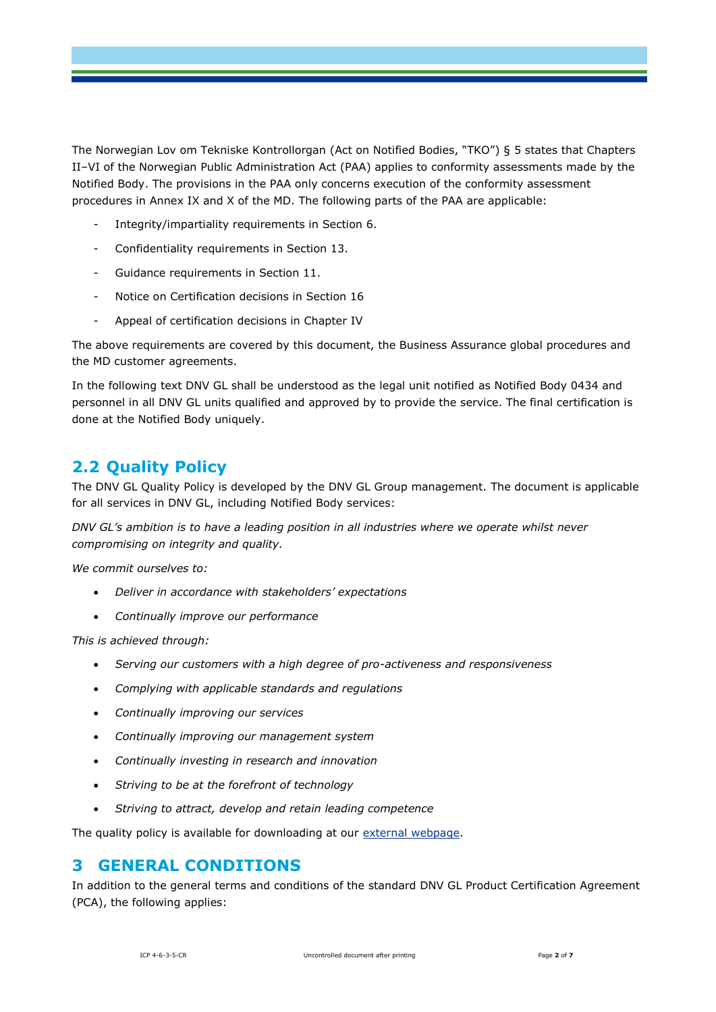The Norwegian Lov om Tekniske Kontrollorgan (Act on Notified Bodies, "TKO") § 5 states that Chapters II–VI of the Norwegian Public Administration Act (PAA) applies to conformity assessments made by the Notified Body. The provisions in the PAA only concerns execution of the conformity assessment procedures in Annex IX and X of the MD. The following parts of the PAA are applicable:

- Integrity/impartiality requirements in Section 6.
- Confidentiality requirements in Section 13.
- Guidance requirements in Section 11.
- Notice on Certification decisions in Section 16
- Appeal of certification decisions in Chapter IV

The above requirements are covered by this document, the Business Assurance global procedures and the MD customer agreements.

In the following text DNV GL shall be understood as the legal unit notified as Notified Body 0434 and personnel in all DNV GL units qualified and approved by to provide the service. The final certification is done at the Notified Body uniquely.

# **2.2 Quality Policy**

The DNV GL Quality Policy is developed by the DNV GL Group management. The document is applicable for all services in DNV GL, including Notified Body services:

*DNV GL's ambition is to have a leading position in all industries where we operate whilst never compromising on integrity and quality.*

*We commit ourselves to:*

- *Deliver in accordance with stakeholders' expectations*
- *Continually improve our performance*

*This is achieved through:*

- *Serving our customers with a high degree of pro-activeness and responsiveness*
- *Complying with applicable standards and regulations*
- *Continually improving our services*
- *Continually improving our management system*
- *Continually investing in research and innovation*
- *Striving to be at the forefront of technology*
- *Striving to attract, develop and retain leading competence*

The quality policy is available for downloading at our [external webpage.](https://www.dnvgl.com/)

#### **3 GENERAL CONDITIONS**

In addition to the general terms and conditions of the standard DNV GL Product Certification Agreement (PCA), the following applies: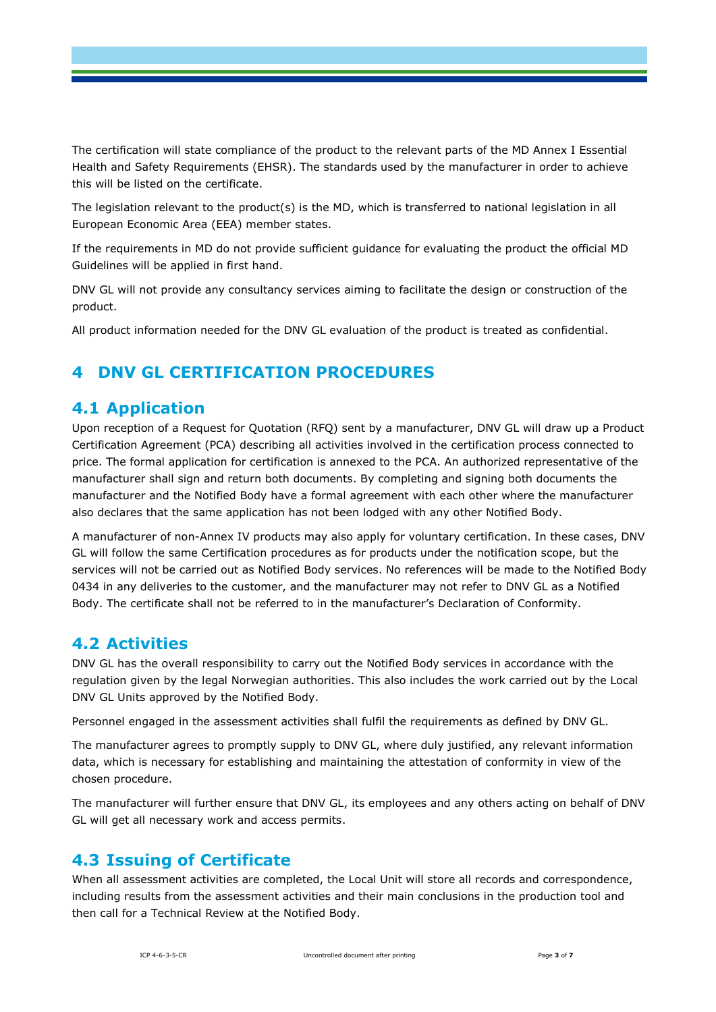The certification will state compliance of the product to the relevant parts of the MD Annex I Essential Health and Safety Requirements (EHSR). The standards used by the manufacturer in order to achieve this will be listed on the certificate.

The legislation relevant to the product(s) is the MD, which is transferred to national legislation in all European Economic Area (EEA) member states.

If the requirements in MD do not provide sufficient guidance for evaluating the product the official MD Guidelines will be applied in first hand.

DNV GL will not provide any consultancy services aiming to facilitate the design or construction of the product.

All product information needed for the DNV GL evaluation of the product is treated as confidential.

## **4 DNV GL CERTIFICATION PROCEDURES**

#### **4.1 Application**

Upon reception of a Request for Quotation (RFQ) sent by a manufacturer, DNV GL will draw up a Product Certification Agreement (PCA) describing all activities involved in the certification process connected to price. The formal application for certification is annexed to the PCA. An authorized representative of the manufacturer shall sign and return both documents. By completing and signing both documents the manufacturer and the Notified Body have a formal agreement with each other where the manufacturer also declares that the same application has not been lodged with any other Notified Body.

A manufacturer of non-Annex IV products may also apply for voluntary certification. In these cases, DNV GL will follow the same Certification procedures as for products under the notification scope, but the services will not be carried out as Notified Body services. No references will be made to the Notified Body 0434 in any deliveries to the customer, and the manufacturer may not refer to DNV GL as a Notified Body. The certificate shall not be referred to in the manufacturer's Declaration of Conformity.

## **4.2 Activities**

DNV GL has the overall responsibility to carry out the Notified Body services in accordance with the regulation given by the legal Norwegian authorities. This also includes the work carried out by the Local DNV GL Units approved by the Notified Body.

Personnel engaged in the assessment activities shall fulfil the requirements as defined by DNV GL.

The manufacturer agrees to promptly supply to DNV GL, where duly justified, any relevant information data, which is necessary for establishing and maintaining the attestation of conformity in view of the chosen procedure.

The manufacturer will further ensure that DNV GL, its employees and any others acting on behalf of DNV GL will get all necessary work and access permits.

## **4.3 Issuing of Certificate**

When all assessment activities are completed, the Local Unit will store all records and correspondence, including results from the assessment activities and their main conclusions in the production tool and then call for a Technical Review at the Notified Body.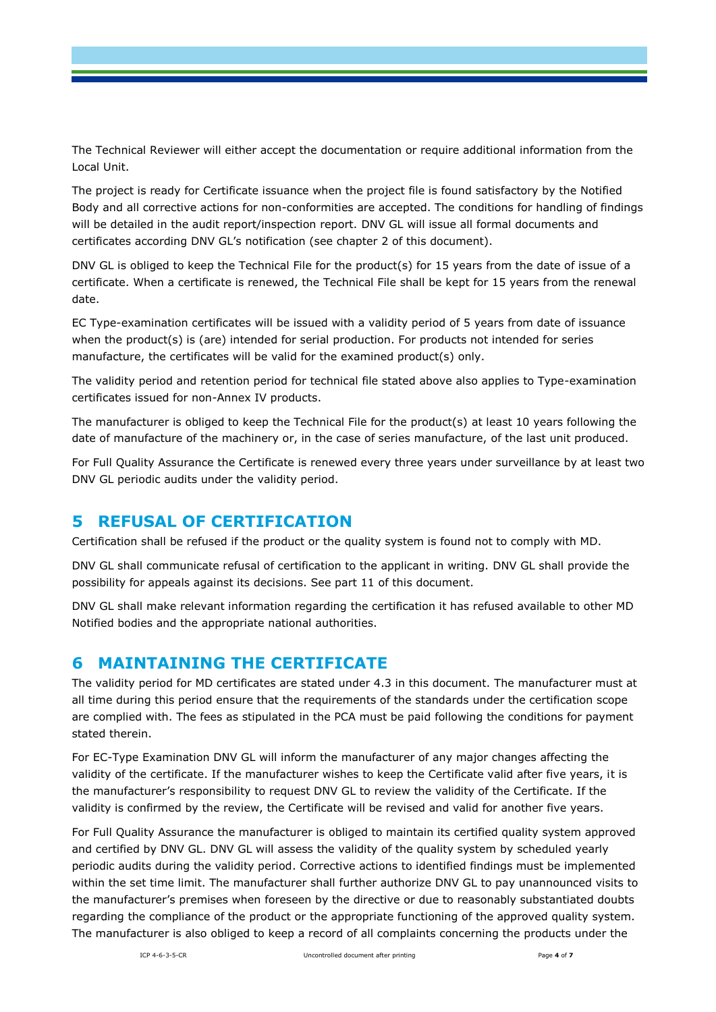The Technical Reviewer will either accept the documentation or require additional information from the Local Unit.

The project is ready for Certificate issuance when the project file is found satisfactory by the Notified Body and all corrective actions for non-conformities are accepted. The conditions for handling of findings will be detailed in the audit report/inspection report. DNV GL will issue all formal documents and certificates according DNV GL's notification (see chapter 2 of this document).

DNV GL is obliged to keep the Technical File for the product(s) for 15 years from the date of issue of a certificate. When a certificate is renewed, the Technical File shall be kept for 15 years from the renewal date.

EC Type-examination certificates will be issued with a validity period of 5 years from date of issuance when the product(s) is (are) intended for serial production. For products not intended for series manufacture, the certificates will be valid for the examined product(s) only.

The validity period and retention period for technical file stated above also applies to Type-examination certificates issued for non-Annex IV products.

The manufacturer is obliged to keep the Technical File for the product(s) at least 10 years following the date of manufacture of the machinery or, in the case of series manufacture, of the last unit produced.

For Full Quality Assurance the Certificate is renewed every three years under surveillance by at least two DNV GL periodic audits under the validity period.

## **5 REFUSAL OF CERTIFICATION**

Certification shall be refused if the product or the quality system is found not to comply with MD.

DNV GL shall communicate refusal of certification to the applicant in writing. DNV GL shall provide the possibility for appeals against its decisions. See part 11 of this document.

DNV GL shall make relevant information regarding the certification it has refused available to other MD Notified bodies and the appropriate national authorities.

## **6 MAINTAINING THE CERTIFICATE**

The validity period for MD certificates are stated under 4.3 in this document. The manufacturer must at all time during this period ensure that the requirements of the standards under the certification scope are complied with. The fees as stipulated in the PCA must be paid following the conditions for payment stated therein.

For EC-Type Examination DNV GL will inform the manufacturer of any major changes affecting the validity of the certificate. If the manufacturer wishes to keep the Certificate valid after five years, it is the manufacturer's responsibility to request DNV GL to review the validity of the Certificate. If the validity is confirmed by the review, the Certificate will be revised and valid for another five years.

For Full Quality Assurance the manufacturer is obliged to maintain its certified quality system approved and certified by DNV GL. DNV GL will assess the validity of the quality system by scheduled yearly periodic audits during the validity period. Corrective actions to identified findings must be implemented within the set time limit. The manufacturer shall further authorize DNV GL to pay unannounced visits to the manufacturer's premises when foreseen by the directive or due to reasonably substantiated doubts regarding the compliance of the product or the appropriate functioning of the approved quality system. The manufacturer is also obliged to keep a record of all complaints concerning the products under the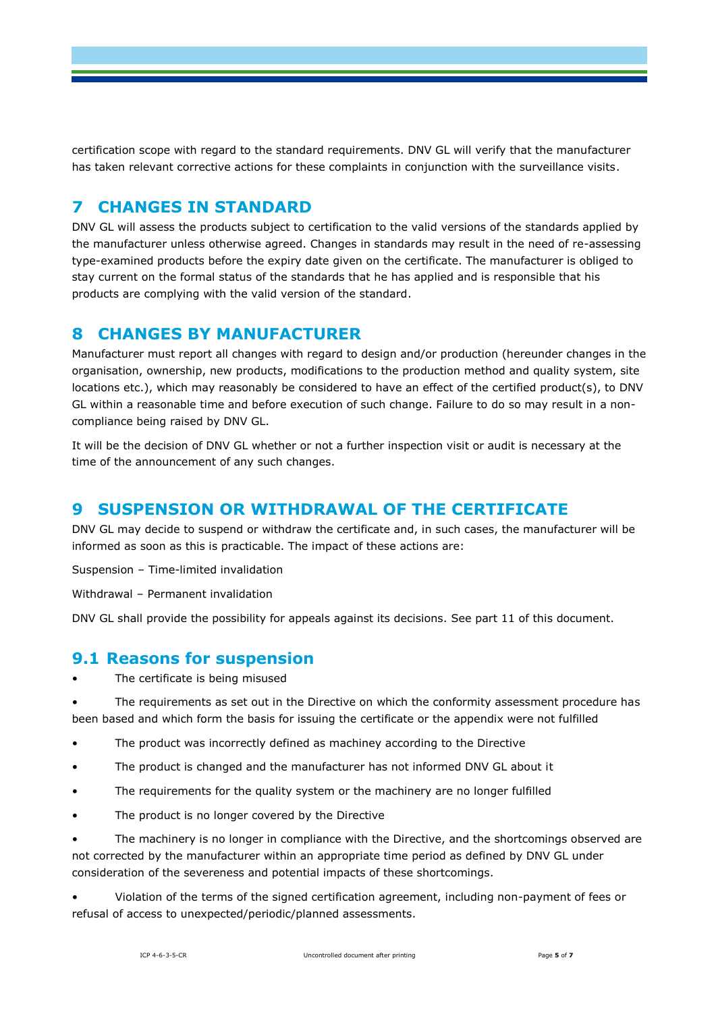certification scope with regard to the standard requirements. DNV GL will verify that the manufacturer has taken relevant corrective actions for these complaints in conjunction with the surveillance visits.

## **7 CHANGES IN STANDARD**

DNV GL will assess the products subject to certification to the valid versions of the standards applied by the manufacturer unless otherwise agreed. Changes in standards may result in the need of re-assessing type-examined products before the expiry date given on the certificate. The manufacturer is obliged to stay current on the formal status of the standards that he has applied and is responsible that his products are complying with the valid version of the standard.

#### **8 CHANGES BY MANUFACTURER**

Manufacturer must report all changes with regard to design and/or production (hereunder changes in the organisation, ownership, new products, modifications to the production method and quality system, site locations etc.), which may reasonably be considered to have an effect of the certified product(s), to DNV GL within a reasonable time and before execution of such change. Failure to do so may result in a noncompliance being raised by DNV GL.

It will be the decision of DNV GL whether or not a further inspection visit or audit is necessary at the time of the announcement of any such changes.

## **9 SUSPENSION OR WITHDRAWAL OF THE CERTIFICATE**

DNV GL may decide to suspend or withdraw the certificate and, in such cases, the manufacturer will be informed as soon as this is practicable. The impact of these actions are:

Suspension – Time-limited invalidation

Withdrawal – Permanent invalidation

DNV GL shall provide the possibility for appeals against its decisions. See part 11 of this document.

#### **9.1 Reasons for suspension**

The certificate is being misused

The requirements as set out in the Directive on which the conformity assessment procedure has been based and which form the basis for issuing the certificate or the appendix were not fulfilled

- The product was incorrectly defined as machiney according to the Directive
- The product is changed and the manufacturer has not informed DNV GL about it
- The requirements for the quality system or the machinery are no longer fulfilled
- The product is no longer covered by the Directive

The machinery is no longer in compliance with the Directive, and the shortcomings observed are not corrected by the manufacturer within an appropriate time period as defined by DNV GL under consideration of the severeness and potential impacts of these shortcomings.

• Violation of the terms of the signed certification agreement, including non-payment of fees or refusal of access to unexpected/periodic/planned assessments.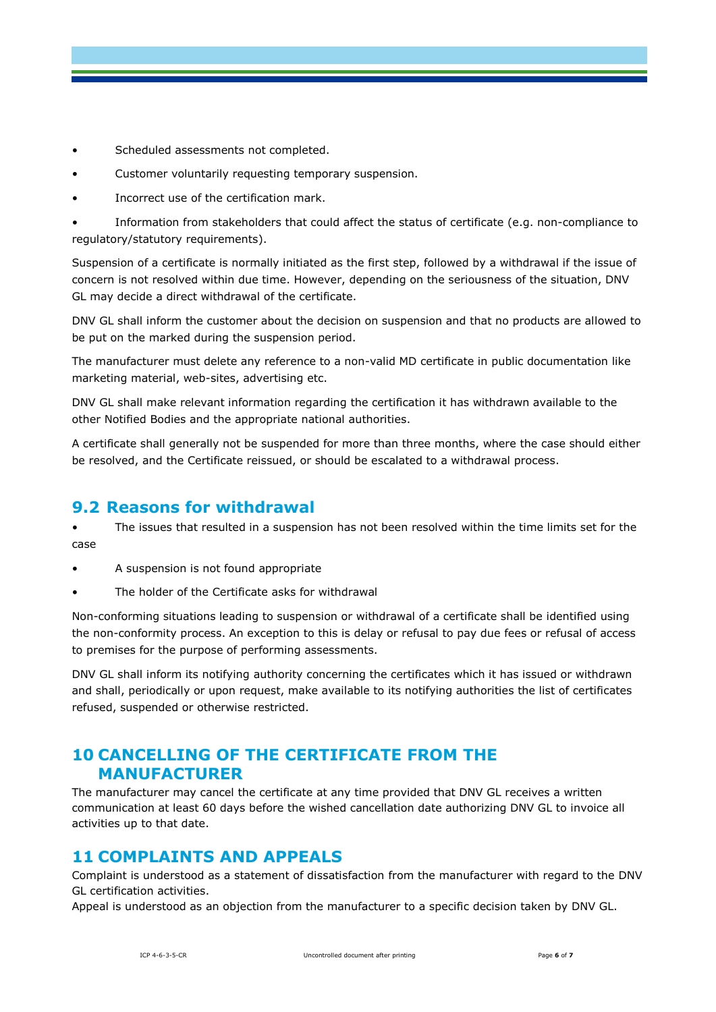- Scheduled assessments not completed.
- Customer voluntarily requesting temporary suspension.
- Incorrect use of the certification mark.
- Information from stakeholders that could affect the status of certificate (e.g. non-compliance to regulatory/statutory requirements).

Suspension of a certificate is normally initiated as the first step, followed by a withdrawal if the issue of concern is not resolved within due time. However, depending on the seriousness of the situation, DNV GL may decide a direct withdrawal of the certificate.

DNV GL shall inform the customer about the decision on suspension and that no products are allowed to be put on the marked during the suspension period.

The manufacturer must delete any reference to a non-valid MD certificate in public documentation like marketing material, web-sites, advertising etc.

DNV GL shall make relevant information regarding the certification it has withdrawn available to the other Notified Bodies and the appropriate national authorities.

A certificate shall generally not be suspended for more than three months, where the case should either be resolved, and the Certificate reissued, or should be escalated to a withdrawal process.

## **9.2 Reasons for withdrawal**

The issues that resulted in a suspension has not been resolved within the time limits set for the case

- A suspension is not found appropriate
- The holder of the Certificate asks for withdrawal

Non-conforming situations leading to suspension or withdrawal of a certificate shall be identified using the non-conformity process. An exception to this is delay or refusal to pay due fees or refusal of access to premises for the purpose of performing assessments.

DNV GL shall inform its notifying authority concerning the certificates which it has issued or withdrawn and shall, periodically or upon request, make available to its notifying authorities the list of certificates refused, suspended or otherwise restricted.

## **10 CANCELLING OF THE CERTIFICATE FROM THE MANUFACTURER**

The manufacturer may cancel the certificate at any time provided that DNV GL receives a written communication at least 60 days before the wished cancellation date authorizing DNV GL to invoice all activities up to that date.

## **11 COMPLAINTS AND APPEALS**

Complaint is understood as a statement of dissatisfaction from the manufacturer with regard to the DNV GL certification activities.

Appeal is understood as an objection from the manufacturer to a specific decision taken by DNV GL.